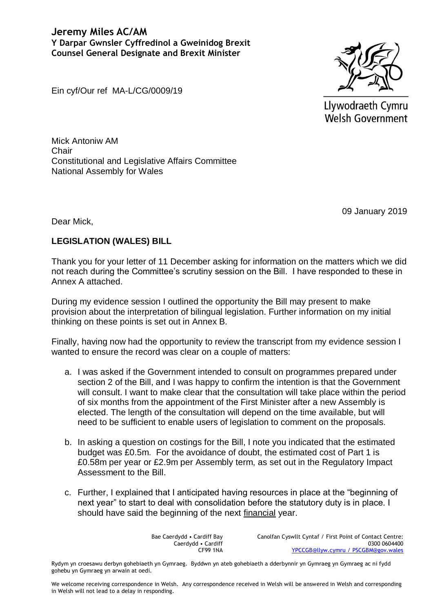

Llywodraeth Cymru Welsh Government

Ein cyf/Our ref MA-L/CG/0009/19

Mick Antoniw AM **Chair** Constitutional and Legislative Affairs Committee National Assembly for Wales

09 January 2019

Dear Mick,

# **LEGISLATION (WALES) BILL**

Thank you for your letter of 11 December asking for information on the matters which we did not reach during the Committee's scrutiny session on the Bill. I have responded to these in Annex A attached.

During my evidence session I outlined the opportunity the Bill may present to make provision about the interpretation of bilingual legislation. Further information on my initial thinking on these points is set out in Annex B.

Finally, having now had the opportunity to review the transcript from my evidence session I wanted to ensure the record was clear on a couple of matters:

- a. I was asked if the Government intended to consult on programmes prepared under section 2 of the Bill, and I was happy to confirm the intention is that the Government will consult. I want to make clear that the consultation will take place within the period of six months from the appointment of the First Minister after a new Assembly is elected. The length of the consultation will depend on the time available, but will need to be sufficient to enable users of legislation to comment on the proposals.
- b. In asking a question on costings for the Bill, I note you indicated that the estimated budget was £0.5m. For the avoidance of doubt, the estimated cost of Part 1 is £0.58m per year or £2.9m per Assembly term, as set out in the Regulatory Impact Assessment to the Bill.
- c. Further, I explained that I anticipated having resources in place at the "beginning of next year" to start to deal with consolidation before the statutory duty is in place. I should have said the beginning of the next financial year.

Bae Caerdydd • Cardiff Bay Caerdydd • Cardiff CF99 1NA

Canolfan Cyswllt Cyntaf / First Point of Contact Centre: 0300 0604400 [YPCCGB@llyw.cymru](mailto:YPCCGB@llyw.cymru) / PSCGBM@gov.wales

Rydym yn croesawu derbyn gohebiaeth yn Gymraeg. Byddwn yn ateb gohebiaeth a dderbynnir yn Gymraeg yn Gymraeg ac ni fydd gohebu yn Gymraeg yn arwain at oedi.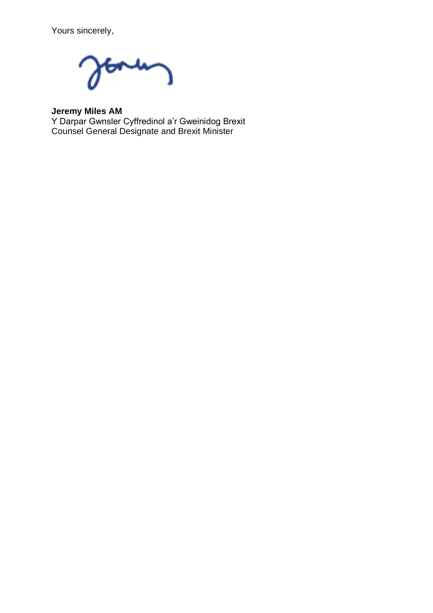Yours sincerely,

**Jeremy Miles AM**

Y Darpar Gwnsler Cyffredinol a'r Gweinidog Brexit Counsel General Designate and Brexit Minister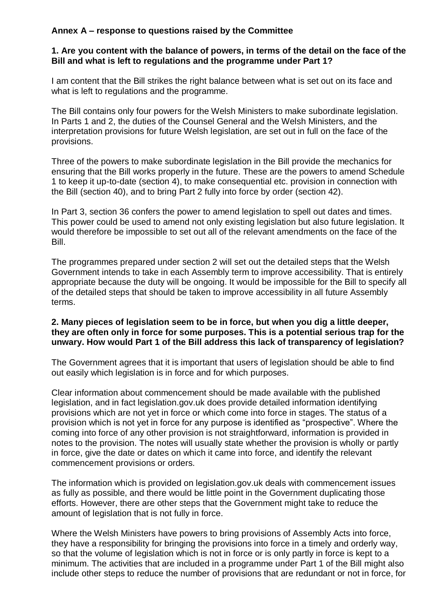# **Annex A – response to questions raised by the Committee**

## **1. Are you content with the balance of powers, in terms of the detail on the face of the Bill and what is left to regulations and the programme under Part 1?**

I am content that the Bill strikes the right balance between what is set out on its face and what is left to regulations and the programme.

The Bill contains only four powers for the Welsh Ministers to make subordinate legislation. In Parts 1 and 2, the duties of the Counsel General and the Welsh Ministers, and the interpretation provisions for future Welsh legislation, are set out in full on the face of the provisions.

Three of the powers to make subordinate legislation in the Bill provide the mechanics for ensuring that the Bill works properly in the future. These are the powers to amend Schedule 1 to keep it up-to-date (section 4), to make consequential etc. provision in connection with the Bill (section 40), and to bring Part 2 fully into force by order (section 42).

In Part 3, section 36 confers the power to amend legislation to spell out dates and times. This power could be used to amend not only existing legislation but also future legislation. It would therefore be impossible to set out all of the relevant amendments on the face of the Bill.

The programmes prepared under section 2 will set out the detailed steps that the Welsh Government intends to take in each Assembly term to improve accessibility. That is entirely appropriate because the duty will be ongoing. It would be impossible for the Bill to specify all of the detailed steps that should be taken to improve accessibility in all future Assembly terms.

#### **2. Many pieces of legislation seem to be in force, but when you dig a little deeper, they are often only in force for some purposes. This is a potential serious trap for the unwary. How would Part 1 of the Bill address this lack of transparency of legislation?**

The Government agrees that it is important that users of legislation should be able to find out easily which legislation is in force and for which purposes.

Clear information about commencement should be made available with the published legislation, and in fact legislation.gov.uk does provide detailed information identifying provisions which are not yet in force or which come into force in stages. The status of a provision which is not yet in force for any purpose is identified as "prospective". Where the coming into force of any other provision is not straightforward, information is provided in notes to the provision. The notes will usually state whether the provision is wholly or partly in force, give the date or dates on which it came into force, and identify the relevant commencement provisions or orders.

The information which is provided on legislation.gov.uk deals with commencement issues as fully as possible, and there would be little point in the Government duplicating those efforts. However, there are other steps that the Government might take to reduce the amount of legislation that is not fully in force.

Where the Welsh Ministers have powers to bring provisions of Assembly Acts into force, they have a responsibility for bringing the provisions into force in a timely and orderly way, so that the volume of legislation which is not in force or is only partly in force is kept to a minimum. The activities that are included in a programme under Part 1 of the Bill might also include other steps to reduce the number of provisions that are redundant or not in force, for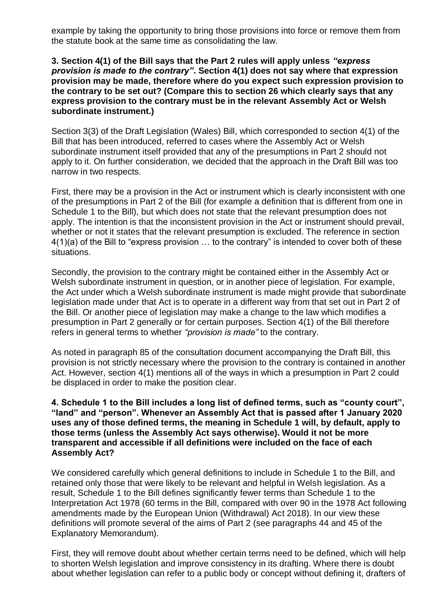example by taking the opportunity to bring those provisions into force or remove them from the statute book at the same time as consolidating the law.

### **3. Section 4(1) of the Bill says that the Part 2 rules will apply unless** *"express provision is made to the contrary"***. Section 4(1) does not say where that expression provision may be made, therefore where do you expect such expression provision to the contrary to be set out? (Compare this to section 26 which clearly says that any express provision to the contrary must be in the relevant Assembly Act or Welsh subordinate instrument.)**

Section 3(3) of the Draft Legislation (Wales) Bill, which corresponded to section 4(1) of the Bill that has been introduced, referred to cases where the Assembly Act or Welsh subordinate instrument itself provided that any of the presumptions in Part 2 should not apply to it. On further consideration, we decided that the approach in the Draft Bill was too narrow in two respects.

First, there may be a provision in the Act or instrument which is clearly inconsistent with one of the presumptions in Part 2 of the Bill (for example a definition that is different from one in Schedule 1 to the Bill), but which does not state that the relevant presumption does not apply. The intention is that the inconsistent provision in the Act or instrument should prevail, whether or not it states that the relevant presumption is excluded. The reference in section 4(1)(a) of the Bill to "express provision … to the contrary" is intended to cover both of these situations.

Secondly, the provision to the contrary might be contained either in the Assembly Act or Welsh subordinate instrument in question, or in another piece of legislation. For example, the Act under which a Welsh subordinate instrument is made might provide that subordinate legislation made under that Act is to operate in a different way from that set out in Part 2 of the Bill. Or another piece of legislation may make a change to the law which modifies a presumption in Part 2 generally or for certain purposes. Section 4(1) of the Bill therefore refers in general terms to whether *"provision is made"* to the contrary.

As noted in paragraph 85 of the consultation document accompanying the Draft Bill, this provision is not strictly necessary where the provision to the contrary is contained in another Act. However, section 4(1) mentions all of the ways in which a presumption in Part 2 could be displaced in order to make the position clear.

## **4. Schedule 1 to the Bill includes a long list of defined terms, such as "county court", "land" and "person". Whenever an Assembly Act that is passed after 1 January 2020 uses any of those defined terms, the meaning in Schedule 1 will, by default, apply to those terms (unless the Assembly Act says otherwise). Would it not be more transparent and accessible if all definitions were included on the face of each Assembly Act?**

We considered carefully which general definitions to include in Schedule 1 to the Bill, and retained only those that were likely to be relevant and helpful in Welsh legislation. As a result, Schedule 1 to the Bill defines significantly fewer terms than Schedule 1 to the Interpretation Act 1978 (60 terms in the Bill, compared with over 90 in the 1978 Act following amendments made by the European Union (Withdrawal) Act 2018). In our view these definitions will promote several of the aims of Part 2 (see paragraphs 44 and 45 of the Explanatory Memorandum).

First, they will remove doubt about whether certain terms need to be defined, which will help to shorten Welsh legislation and improve consistency in its drafting. Where there is doubt about whether legislation can refer to a public body or concept without defining it, drafters of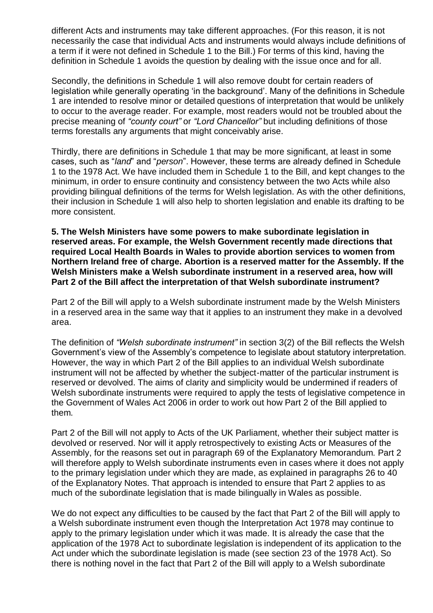different Acts and instruments may take different approaches. (For this reason, it is not necessarily the case that individual Acts and instruments would always include definitions of a term if it were not defined in Schedule 1 to the Bill.) For terms of this kind, having the definition in Schedule 1 avoids the question by dealing with the issue once and for all.

Secondly, the definitions in Schedule 1 will also remove doubt for certain readers of legislation while generally operating 'in the background'. Many of the definitions in Schedule 1 are intended to resolve minor or detailed questions of interpretation that would be unlikely to occur to the average reader. For example, most readers would not be troubled about the precise meaning of *"county court"* or *"Lord Chancellor"* but including definitions of those terms forestalls any arguments that might conceivably arise.

Thirdly, there are definitions in Schedule 1 that may be more significant, at least in some cases, such as "*land*" and "*person*". However, these terms are already defined in Schedule 1 to the 1978 Act. We have included them in Schedule 1 to the Bill, and kept changes to the minimum, in order to ensure continuity and consistency between the two Acts while also providing bilingual definitions of the terms for Welsh legislation. As with the other definitions, their inclusion in Schedule 1 will also help to shorten legislation and enable its drafting to be more consistent.

**5. The Welsh Ministers have some powers to make subordinate legislation in reserved areas. For example, the Welsh Government recently made directions that required Local Health Boards in Wales to provide abortion services to women from Northern Ireland free of charge. Abortion is a reserved matter for the Assembly. If the Welsh Ministers make a Welsh subordinate instrument in a reserved area, how will Part 2 of the Bill affect the interpretation of that Welsh subordinate instrument?** 

Part 2 of the Bill will apply to a Welsh subordinate instrument made by the Welsh Ministers in a reserved area in the same way that it applies to an instrument they make in a devolved area.

The definition of *"Welsh subordinate instrument"* in section 3(2) of the Bill reflects the Welsh Government's view of the Assembly's competence to legislate about statutory interpretation. However, the way in which Part 2 of the Bill applies to an individual Welsh subordinate instrument will not be affected by whether the subject-matter of the particular instrument is reserved or devolved. The aims of clarity and simplicity would be undermined if readers of Welsh subordinate instruments were required to apply the tests of legislative competence in the Government of Wales Act 2006 in order to work out how Part 2 of the Bill applied to them.

Part 2 of the Bill will not apply to Acts of the UK Parliament, whether their subject matter is devolved or reserved. Nor will it apply retrospectively to existing Acts or Measures of the Assembly, for the reasons set out in paragraph 69 of the Explanatory Memorandum. Part 2 will therefore apply to Welsh subordinate instruments even in cases where it does not apply to the primary legislation under which they are made, as explained in paragraphs 26 to 40 of the Explanatory Notes. That approach is intended to ensure that Part 2 applies to as much of the subordinate legislation that is made bilingually in Wales as possible.

We do not expect any difficulties to be caused by the fact that Part 2 of the Bill will apply to a Welsh subordinate instrument even though the Interpretation Act 1978 may continue to apply to the primary legislation under which it was made. It is already the case that the application of the 1978 Act to subordinate legislation is independent of its application to the Act under which the subordinate legislation is made (see section 23 of the 1978 Act). So there is nothing novel in the fact that Part 2 of the Bill will apply to a Welsh subordinate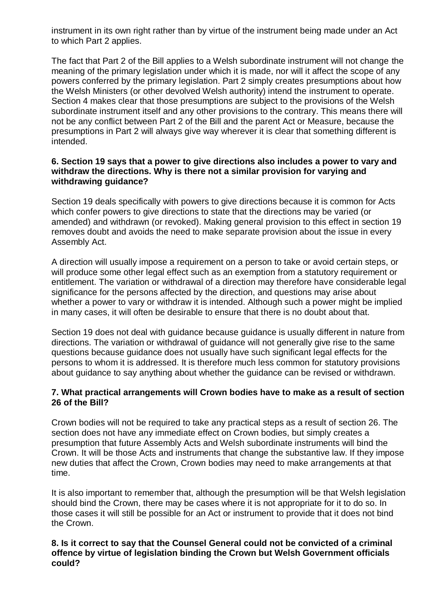instrument in its own right rather than by virtue of the instrument being made under an Act to which Part 2 applies.

The fact that Part 2 of the Bill applies to a Welsh subordinate instrument will not change the meaning of the primary legislation under which it is made, nor will it affect the scope of any powers conferred by the primary legislation. Part 2 simply creates presumptions about how the Welsh Ministers (or other devolved Welsh authority) intend the instrument to operate. Section 4 makes clear that those presumptions are subject to the provisions of the Welsh subordinate instrument itself and any other provisions to the contrary. This means there will not be any conflict between Part 2 of the Bill and the parent Act or Measure, because the presumptions in Part 2 will always give way wherever it is clear that something different is intended.

## **6. Section 19 says that a power to give directions also includes a power to vary and withdraw the directions. Why is there not a similar provision for varying and withdrawing guidance?**

Section 19 deals specifically with powers to give directions because it is common for Acts which confer powers to give directions to state that the directions may be varied (or amended) and withdrawn (or revoked). Making general provision to this effect in section 19 removes doubt and avoids the need to make separate provision about the issue in every Assembly Act.

A direction will usually impose a requirement on a person to take or avoid certain steps, or will produce some other legal effect such as an exemption from a statutory requirement or entitlement. The variation or withdrawal of a direction may therefore have considerable legal significance for the persons affected by the direction, and questions may arise about whether a power to vary or withdraw it is intended. Although such a power might be implied in many cases, it will often be desirable to ensure that there is no doubt about that.

Section 19 does not deal with quidance because quidance is usually different in nature from directions. The variation or withdrawal of guidance will not generally give rise to the same questions because guidance does not usually have such significant legal effects for the persons to whom it is addressed. It is therefore much less common for statutory provisions about guidance to say anything about whether the guidance can be revised or withdrawn.

## **7. What practical arrangements will Crown bodies have to make as a result of section 26 of the Bill?**

Crown bodies will not be required to take any practical steps as a result of section 26. The section does not have any immediate effect on Crown bodies, but simply creates a presumption that future Assembly Acts and Welsh subordinate instruments will bind the Crown. It will be those Acts and instruments that change the substantive law. If they impose new duties that affect the Crown, Crown bodies may need to make arrangements at that time.

It is also important to remember that, although the presumption will be that Welsh legislation should bind the Crown, there may be cases where it is not appropriate for it to do so. In those cases it will still be possible for an Act or instrument to provide that it does not bind the Crown.

## **8. Is it correct to say that the Counsel General could not be convicted of a criminal offence by virtue of legislation binding the Crown but Welsh Government officials could?**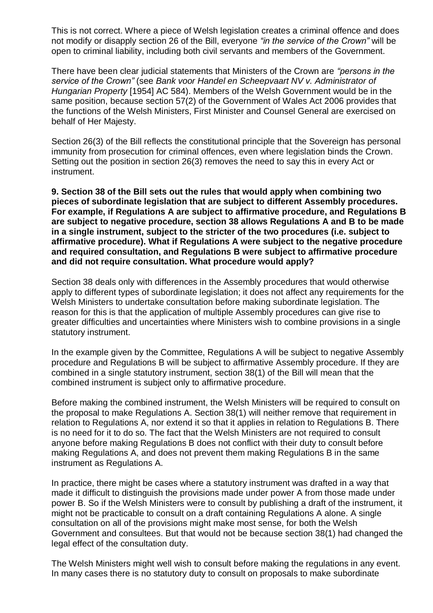This is not correct. Where a piece of Welsh legislation creates a criminal offence and does not modify or disapply section 26 of the Bill, everyone *"in the service of the Crown"* will be open to criminal liability, including both civil servants and members of the Government.

There have been clear judicial statements that Ministers of the Crown are *"persons in the service of the Crown"* (see *Bank voor Handel en Scheepvaart NV v. Administrator of Hungarian Property* [1954] AC 584). Members of the Welsh Government would be in the same position, because section 57(2) of the Government of Wales Act 2006 provides that the functions of the Welsh Ministers, First Minister and Counsel General are exercised on behalf of Her Majesty.

Section 26(3) of the Bill reflects the constitutional principle that the Sovereign has personal immunity from prosecution for criminal offences, even where legislation binds the Crown. Setting out the position in section 26(3) removes the need to say this in every Act or instrument.

**9. Section 38 of the Bill sets out the rules that would apply when combining two pieces of subordinate legislation that are subject to different Assembly procedures. For example, if Regulations A are subject to affirmative procedure, and Regulations B are subject to negative procedure, section 38 allows Regulations A and B to be made in a single instrument, subject to the stricter of the two procedures (i.e. subject to affirmative procedure). What if Regulations A were subject to the negative procedure and required consultation, and Regulations B were subject to affirmative procedure and did not require consultation. What procedure would apply?** 

Section 38 deals only with differences in the Assembly procedures that would otherwise apply to different types of subordinate legislation; it does not affect any requirements for the Welsh Ministers to undertake consultation before making subordinate legislation. The reason for this is that the application of multiple Assembly procedures can give rise to greater difficulties and uncertainties where Ministers wish to combine provisions in a single statutory instrument.

In the example given by the Committee, Regulations A will be subject to negative Assembly procedure and Regulations B will be subject to affirmative Assembly procedure. If they are combined in a single statutory instrument, section 38(1) of the Bill will mean that the combined instrument is subject only to affirmative procedure.

Before making the combined instrument, the Welsh Ministers will be required to consult on the proposal to make Regulations A. Section 38(1) will neither remove that requirement in relation to Regulations A, nor extend it so that it applies in relation to Regulations B. There is no need for it to do so. The fact that the Welsh Ministers are not required to consult anyone before making Regulations B does not conflict with their duty to consult before making Regulations A, and does not prevent them making Regulations B in the same instrument as Regulations A.

In practice, there might be cases where a statutory instrument was drafted in a way that made it difficult to distinguish the provisions made under power A from those made under power B. So if the Welsh Ministers were to consult by publishing a draft of the instrument, it might not be practicable to consult on a draft containing Regulations A alone. A single consultation on all of the provisions might make most sense, for both the Welsh Government and consultees. But that would not be because section 38(1) had changed the legal effect of the consultation duty.

The Welsh Ministers might well wish to consult before making the regulations in any event. In many cases there is no statutory duty to consult on proposals to make subordinate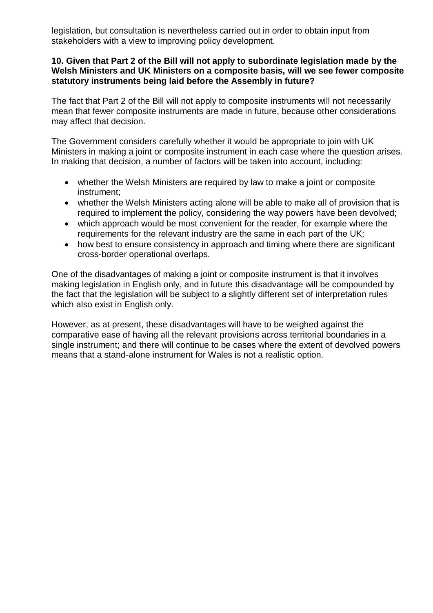legislation, but consultation is nevertheless carried out in order to obtain input from stakeholders with a view to improving policy development.

#### **10. Given that Part 2 of the Bill will not apply to subordinate legislation made by the Welsh Ministers and UK Ministers on a composite basis, will we see fewer composite statutory instruments being laid before the Assembly in future?**

The fact that Part 2 of the Bill will not apply to composite instruments will not necessarily mean that fewer composite instruments are made in future, because other considerations may affect that decision.

The Government considers carefully whether it would be appropriate to join with UK Ministers in making a joint or composite instrument in each case where the question arises. In making that decision, a number of factors will be taken into account, including:

- whether the Welsh Ministers are required by law to make a joint or composite instrument;
- whether the Welsh Ministers acting alone will be able to make all of provision that is required to implement the policy, considering the way powers have been devolved;
- which approach would be most convenient for the reader, for example where the requirements for the relevant industry are the same in each part of the UK;
- how best to ensure consistency in approach and timing where there are significant cross-border operational overlaps.

One of the disadvantages of making a joint or composite instrument is that it involves making legislation in English only, and in future this disadvantage will be compounded by the fact that the legislation will be subject to a slightly different set of interpretation rules which also exist in English only.

However, as at present, these disadvantages will have to be weighed against the comparative ease of having all the relevant provisions across territorial boundaries in a single instrument; and there will continue to be cases where the extent of devolved powers means that a stand-alone instrument for Wales is not a realistic option.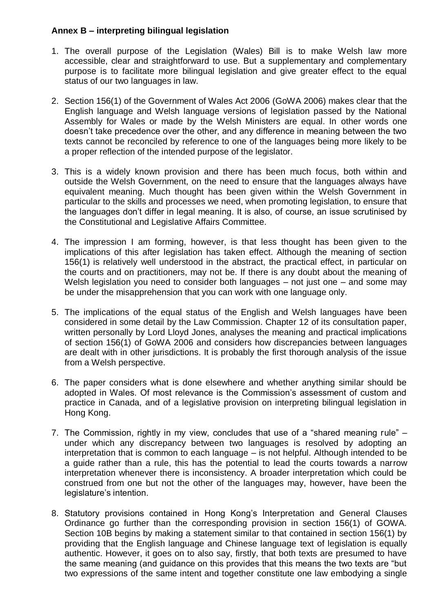# **Annex B – interpreting bilingual legislation**

- 1. The overall purpose of the Legislation (Wales) Bill is to make Welsh law more accessible, clear and straightforward to use. But a supplementary and complementary purpose is to facilitate more bilingual legislation and give greater effect to the equal status of our two languages in law.
- 2. Section 156(1) of the Government of Wales Act 2006 (GoWA 2006) makes clear that the English language and Welsh language versions of legislation passed by the National Assembly for Wales or made by the Welsh Ministers are equal. In other words one doesn't take precedence over the other, and any difference in meaning between the two texts cannot be reconciled by reference to one of the languages being more likely to be a proper reflection of the intended purpose of the legislator.
- 3. This is a widely known provision and there has been much focus, both within and outside the Welsh Government, on the need to ensure that the languages always have equivalent meaning. Much thought has been given within the Welsh Government in particular to the skills and processes we need, when promoting legislation, to ensure that the languages don't differ in legal meaning. It is also, of course, an issue scrutinised by the Constitutional and Legislative Affairs Committee.
- 4. The impression I am forming, however, is that less thought has been given to the implications of this after legislation has taken effect. Although the meaning of section 156(1) is relatively well understood in the abstract, the practical effect, in particular on the courts and on practitioners, may not be. If there is any doubt about the meaning of Welsh legislation you need to consider both languages – not just one – and some may be under the misapprehension that you can work with one language only.
- 5. The implications of the equal status of the English and Welsh languages have been considered in some detail by the Law Commission. Chapter 12 of its consultation paper, written personally by Lord Lloyd Jones, analyses the meaning and practical implications of section 156(1) of GoWA 2006 and considers how discrepancies between languages are dealt with in other jurisdictions. It is probably the first thorough analysis of the issue from a Welsh perspective.
- 6. The paper considers what is done elsewhere and whether anything similar should be adopted in Wales. Of most relevance is the Commission's assessment of custom and practice in Canada, and of a legislative provision on interpreting bilingual legislation in Hong Kong.
- 7. The Commission, rightly in my view, concludes that use of a "shared meaning rule" under which any discrepancy between two languages is resolved by adopting an interpretation that is common to each language – is not helpful. Although intended to be a guide rather than a rule, this has the potential to lead the courts towards a narrow interpretation whenever there is inconsistency. A broader interpretation which could be construed from one but not the other of the languages may, however, have been the legislature's intention.
- 8. Statutory provisions contained in Hong Kong's Interpretation and General Clauses Ordinance go further than the corresponding provision in section 156(1) of GOWA. Section 10B begins by making a statement similar to that contained in section 156(1) by providing that the English language and Chinese language text of legislation is equally authentic. However, it goes on to also say, firstly, that both texts are presumed to have the same meaning (and guidance on this provides that this means the two texts are "but two expressions of the same intent and together constitute one law embodying a single